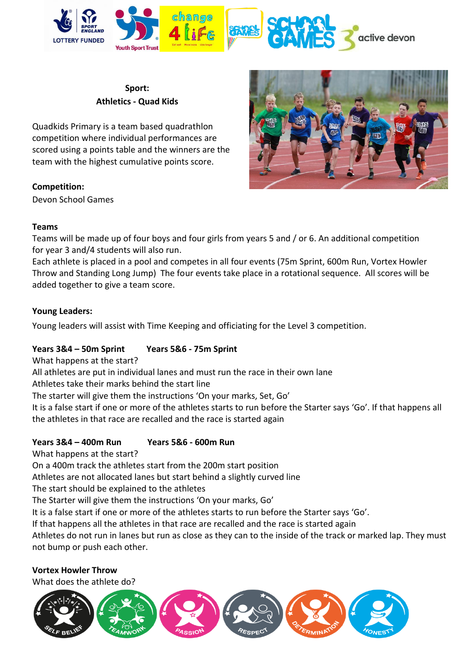

## **Sport: Athletics - Quad Kids**

Quadkids Primary is a team based quadrathlon competition where individual performances are scored using a points table and the winners are the team with the highest cumulative points score.

### **Competition:**

Devon School Games



#### **Teams**

Teams will be made up of four boys and four girls from years 5 and / or 6. An additional competition for year 3 and/4 students will also run.

Each athlete is placed in a pool and competes in all four events (75m Sprint, 600m Run, Vortex Howler Throw and Standing Long Jump) The four events take place in a rotational sequence. All scores will be added together to give a team score.

### **Young Leaders:**

Young leaders will assist with Time Keeping and officiating for the Level 3 competition.

# **Years 3&4 – 50m Sprint Years 5&6 - 75m Sprint**

What happens at the start?

All athletes are put in individual lanes and must run the race in their own lane

Athletes take their marks behind the start line

The starter will give them the instructions 'On your marks, Set, Go'

It is a false start if one or more of the athletes starts to run before the Starter says 'Go'. If that happens all the athletes in that race are recalled and the race is started again

# **Years 3&4 – 400m Run Years 5&6 - 600m Run**

What happens at the start?

On a 400m track the athletes start from the 200m start position

Athletes are not allocated lanes but start behind a slightly curved line

The start should be explained to the athletes

The Starter will give them the instructions 'On your marks, Go'

It is a false start if one or more of the athletes starts to run before the Starter says 'Go'.

If that happens all the athletes in that race are recalled and the race is started again

Athletes do not run in lanes but run as close as they can to the inside of the track or marked lap. They must not bump or push each other.

**Vortex Howler Throw**

What does the athlete do?